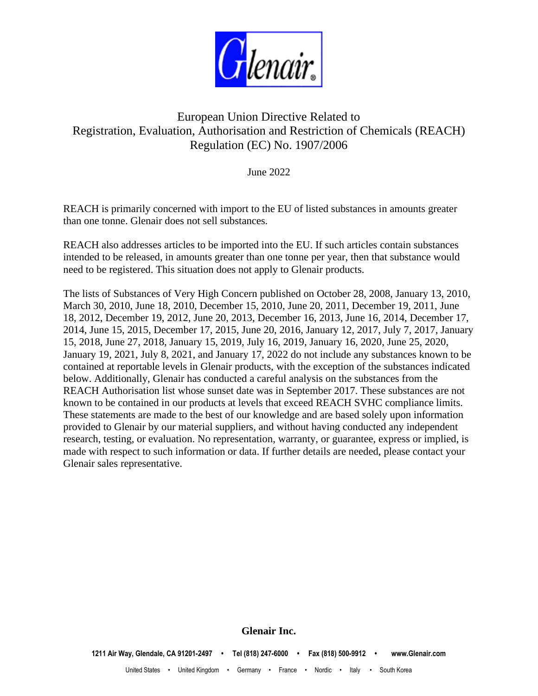

# European Union Directive Related to Registration, Evaluation, Authorisation and Restriction of Chemicals (REACH) Regulation (EC) No. 1907/2006

June 2022

REACH is primarily concerned with import to the EU of listed substances in amounts greater than one tonne. Glenair does not sell substances.

REACH also addresses articles to be imported into the EU. If such articles contain substances intended to be released, in amounts greater than one tonne per year, then that substance would need to be registered. This situation does not apply to Glenair products.

The lists of Substances of Very High Concern published on October 28, 2008, January 13, 2010, March 30, 2010, June 18, 2010, December 15, 2010, June 20, 2011, December 19, 2011, June 18, 2012, December 19, 2012, June 20, 2013, December 16, 2013, June 16, 2014, December 17, 2014, June 15, 2015, December 17, 2015, June 20, 2016, January 12, 2017, July 7, 2017, January 15, 2018, June 27, 2018, January 15, 2019, July 16, 2019, January 16, 2020, June 25, 2020, January 19, 2021, July 8, 2021, and January 17, 2022 do not include any substances known to be contained at reportable levels in Glenair products, with the exception of the substances indicated below. Additionally, Glenair has conducted a careful analysis on the substances from the REACH Authorisation list whose sunset date was in September 2017. These substances are not known to be contained in our products at levels that exceed REACH SVHC compliance limits. These statements are made to the best of our knowledge and are based solely upon information provided to Glenair by our material suppliers, and without having conducted any independent research, testing, or evaluation. No representation, warranty, or guarantee, express or implied, is made with respect to such information or data. If further details are needed, please contact your Glenair sales representative.

**Glenair Inc.**

**1211 Air Way, Glendale, CA 91201-2497 • Tel (818) 247-6000 • Fax (818) 500-9912 • www.Glenair.com** United States • United Kingdom • Germany • France • Nordic • Italy • South Korea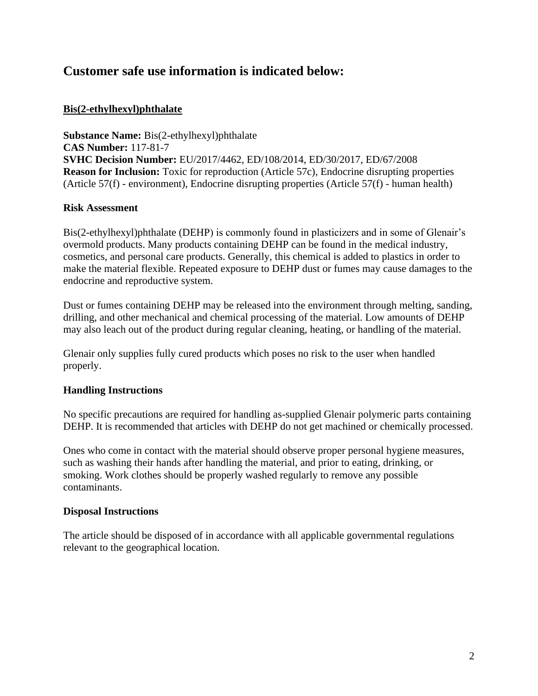# **Customer safe use information is indicated below:**

### **Bis(2-ethylhexyl)phthalate**

**Substance Name:** Bis(2-ethylhexyl)phthalate **CAS Number:** 117-81-7 **SVHC Decision Number:** EU/2017/4462, ED/108/2014, ED/30/2017, ED/67/2008 **Reason for Inclusion:** Toxic for reproduction (Article 57c), Endocrine disrupting properties (Article 57(f) - environment), Endocrine disrupting properties (Article 57(f) - human health)

#### **Risk Assessment**

Bis(2-ethylhexyl)phthalate (DEHP) is commonly found in plasticizers and in some of Glenair's overmold products. Many products containing DEHP can be found in the medical industry, cosmetics, and personal care products. Generally, this chemical is added to plastics in order to make the material flexible. Repeated exposure to DEHP dust or fumes may cause damages to the endocrine and reproductive system.

Dust or fumes containing DEHP may be released into the environment through melting, sanding, drilling, and other mechanical and chemical processing of the material. Low amounts of DEHP may also leach out of the product during regular cleaning, heating, or handling of the material.

Glenair only supplies fully cured products which poses no risk to the user when handled properly.

### **Handling Instructions**

No specific precautions are required for handling as-supplied Glenair polymeric parts containing DEHP. It is recommended that articles with DEHP do not get machined or chemically processed.

Ones who come in contact with the material should observe proper personal hygiene measures, such as washing their hands after handling the material, and prior to eating, drinking, or smoking. Work clothes should be properly washed regularly to remove any possible contaminants.

#### **Disposal Instructions**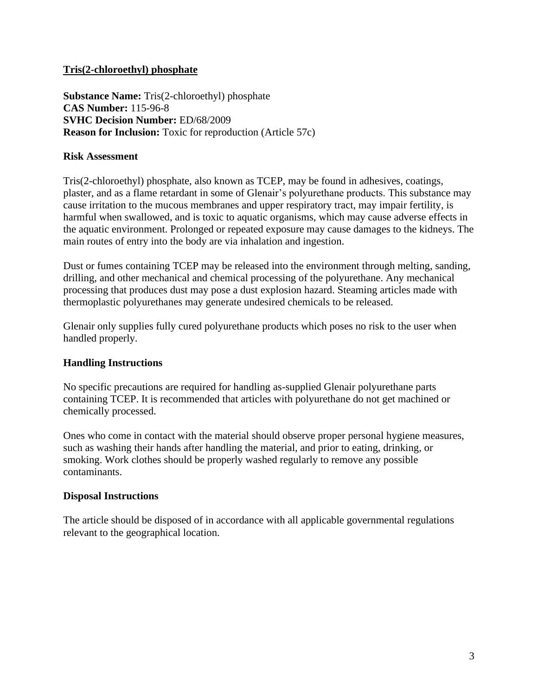### **Tris(2-chloroethyl) phosphate**

**Substance Name:** Tris(2-chloroethyl) phosphate **CAS Number:** 115-96-8 **SVHC Decision Number:** ED/68/2009 **Reason for Inclusion:** Toxic for reproduction (Article 57c)

### **Risk Assessment**

Tris(2-chloroethyl) phosphate, also known as TCEP, may be found in adhesives, coatings, plaster, and as a flame retardant in some of Glenair's polyurethane products. This substance may cause irritation to the mucous membranes and upper respiratory tract, may impair fertility, is harmful when swallowed, and is toxic to aquatic organisms, which may cause adverse effects in the aquatic environment. Prolonged or repeated exposure may cause damages to the kidneys. The main routes of entry into the body are via inhalation and ingestion.

Dust or fumes containing TCEP may be released into the environment through melting, sanding, drilling, and other mechanical and chemical processing of the polyurethane. Any mechanical processing that produces dust may pose a dust explosion hazard. Steaming articles made with thermoplastic polyurethanes may generate undesired chemicals to be released.

Glenair only supplies fully cured polyurethane products which poses no risk to the user when handled properly.

### **Handling Instructions**

No specific precautions are required for handling as-supplied Glenair polyurethane parts containing TCEP. It is recommended that articles with polyurethane do not get machined or chemically processed.

Ones who come in contact with the material should observe proper personal hygiene measures, such as washing their hands after handling the material, and prior to eating, drinking, or smoking. Work clothes should be properly washed regularly to remove any possible contaminants.

### **Disposal Instructions**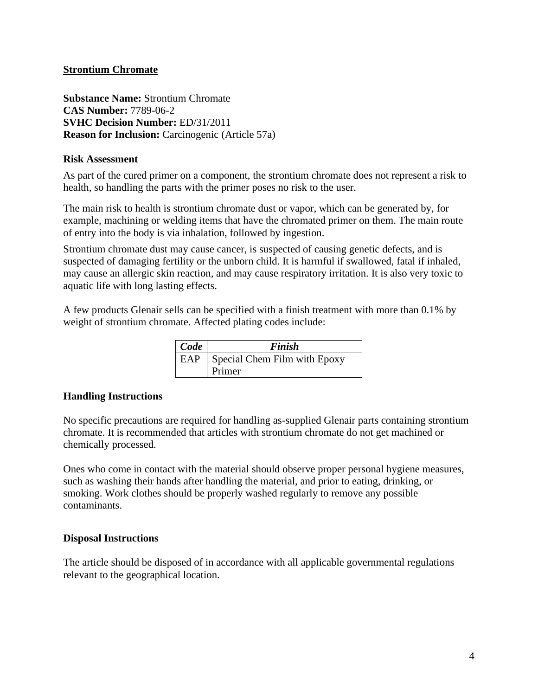### **Strontium Chromate**

**Substance Name:** Strontium Chromate **CAS Number:** 7789-06-2 **SVHC Decision Number:** ED/31/2011 **Reason for Inclusion:** Carcinogenic (Article 57a)

#### **Risk Assessment**

As part of the cured primer on a component, the strontium chromate does not represent a risk to health, so handling the parts with the primer poses no risk to the user.

The main risk to health is strontium chromate dust or vapor, which can be generated by, for example, machining or welding items that have the chromated primer on them. The main route of entry into the body is via inhalation, followed by ingestion.

Strontium chromate dust may cause cancer, is suspected of causing genetic defects, and is suspected of damaging fertility or the unborn child. It is harmful if swallowed, fatal if inhaled, may cause an allergic skin reaction, and may cause respiratory irritation. It is also very toxic to aquatic life with long lasting effects.

A few products Glenair sells can be specified with a finish treatment with more than 0.1% by weight of strontium chromate. Affected plating codes include:

| Code | Finish                             |  |  |  |  |  |  |
|------|------------------------------------|--|--|--|--|--|--|
|      | EAP   Special Chem Film with Epoxy |  |  |  |  |  |  |
|      | Primer                             |  |  |  |  |  |  |

#### **Handling Instructions**

No specific precautions are required for handling as-supplied Glenair parts containing strontium chromate. It is recommended that articles with strontium chromate do not get machined or chemically processed.

Ones who come in contact with the material should observe proper personal hygiene measures, such as washing their hands after handling the material, and prior to eating, drinking, or smoking. Work clothes should be properly washed regularly to remove any possible contaminants.

#### **Disposal Instructions**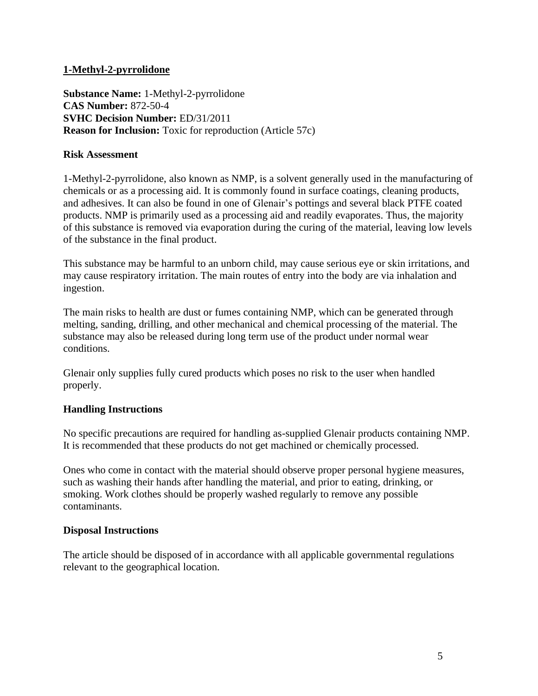### **1-Methyl-2-pyrrolidone**

**Substance Name:** 1-Methyl-2-pyrrolidone **CAS Number:** 872-50-4 **SVHC Decision Number:** ED/31/2011 **Reason for Inclusion:** Toxic for reproduction (Article 57c)

### **Risk Assessment**

1-Methyl-2-pyrrolidone, also known as NMP, is a solvent generally used in the manufacturing of chemicals or as a processing aid. It is commonly found in surface coatings, cleaning products, and adhesives. It can also be found in one of Glenair's pottings and several black PTFE coated products. NMP is primarily used as a processing aid and readily evaporates. Thus, the majority of this substance is removed via evaporation during the curing of the material, leaving low levels of the substance in the final product.

This substance may be harmful to an unborn child, may cause serious eye or skin irritations, and may cause respiratory irritation. The main routes of entry into the body are via inhalation and ingestion.

The main risks to health are dust or fumes containing NMP, which can be generated through melting, sanding, drilling, and other mechanical and chemical processing of the material. The substance may also be released during long term use of the product under normal wear conditions.

Glenair only supplies fully cured products which poses no risk to the user when handled properly.

### **Handling Instructions**

No specific precautions are required for handling as-supplied Glenair products containing NMP. It is recommended that these products do not get machined or chemically processed.

Ones who come in contact with the material should observe proper personal hygiene measures, such as washing their hands after handling the material, and prior to eating, drinking, or smoking. Work clothes should be properly washed regularly to remove any possible contaminants.

### **Disposal Instructions**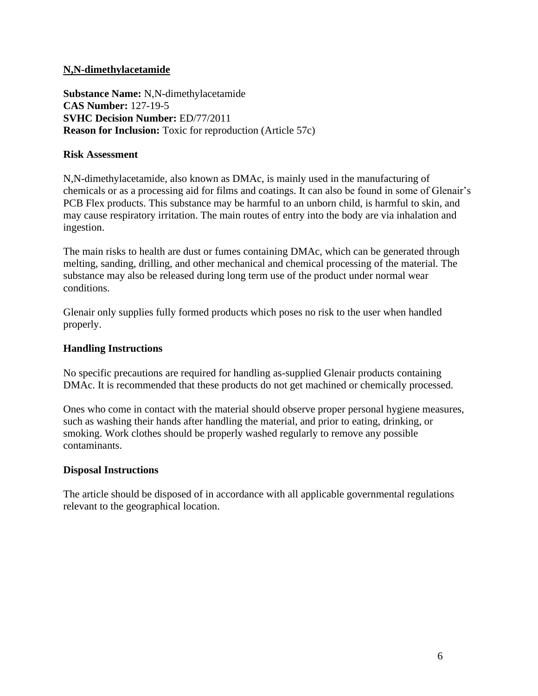### **N,N-dimethylacetamide**

**Substance Name:** N,N-dimethylacetamide **CAS Number:** 127-19-5 **SVHC Decision Number:** ED/77/2011 **Reason for Inclusion:** Toxic for reproduction (Article 57c)

#### **Risk Assessment**

N,N-dimethylacetamide, also known as DMAc, is mainly used in the manufacturing of chemicals or as a processing aid for films and coatings. It can also be found in some of Glenair's PCB Flex products. This substance may be harmful to an unborn child, is harmful to skin, and may cause respiratory irritation. The main routes of entry into the body are via inhalation and ingestion.

The main risks to health are dust or fumes containing DMAc, which can be generated through melting, sanding, drilling, and other mechanical and chemical processing of the material. The substance may also be released during long term use of the product under normal wear conditions.

Glenair only supplies fully formed products which poses no risk to the user when handled properly.

#### **Handling Instructions**

No specific precautions are required for handling as-supplied Glenair products containing DMAc. It is recommended that these products do not get machined or chemically processed.

Ones who come in contact with the material should observe proper personal hygiene measures, such as washing their hands after handling the material, and prior to eating, drinking, or smoking. Work clothes should be properly washed regularly to remove any possible contaminants.

#### **Disposal Instructions**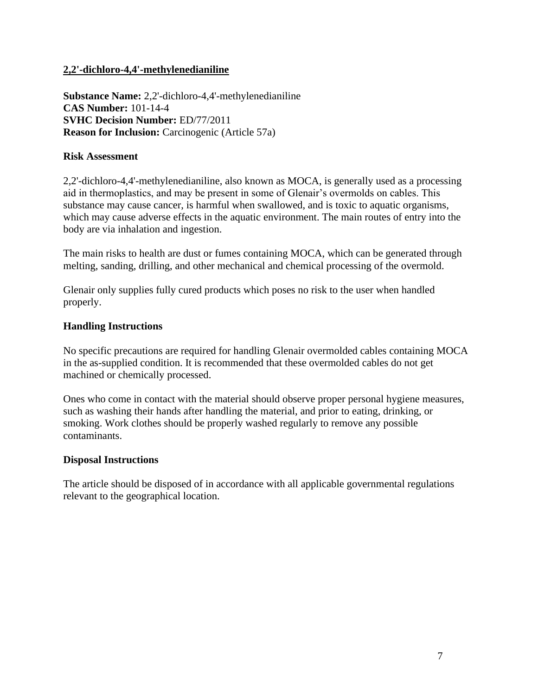### **2,2'-dichloro-4,4'-methylenedianiline**

**Substance Name:** 2,2'-dichloro-4,4'-methylenedianiline **CAS Number:** 101-14-4 **SVHC Decision Number:** ED/77/2011 **Reason for Inclusion:** Carcinogenic (Article 57a)

#### **Risk Assessment**

2,2'-dichloro-4,4'-methylenedianiline, also known as MOCA, is generally used as a processing aid in thermoplastics, and may be present in some of Glenair's overmolds on cables. This substance may cause cancer, is harmful when swallowed, and is toxic to aquatic organisms, which may cause adverse effects in the aquatic environment. The main routes of entry into the body are via inhalation and ingestion.

The main risks to health are dust or fumes containing MOCA, which can be generated through melting, sanding, drilling, and other mechanical and chemical processing of the overmold.

Glenair only supplies fully cured products which poses no risk to the user when handled properly.

#### **Handling Instructions**

No specific precautions are required for handling Glenair overmolded cables containing MOCA in the as-supplied condition. It is recommended that these overmolded cables do not get machined or chemically processed.

Ones who come in contact with the material should observe proper personal hygiene measures, such as washing their hands after handling the material, and prior to eating, drinking, or smoking. Work clothes should be properly washed regularly to remove any possible contaminants.

#### **Disposal Instructions**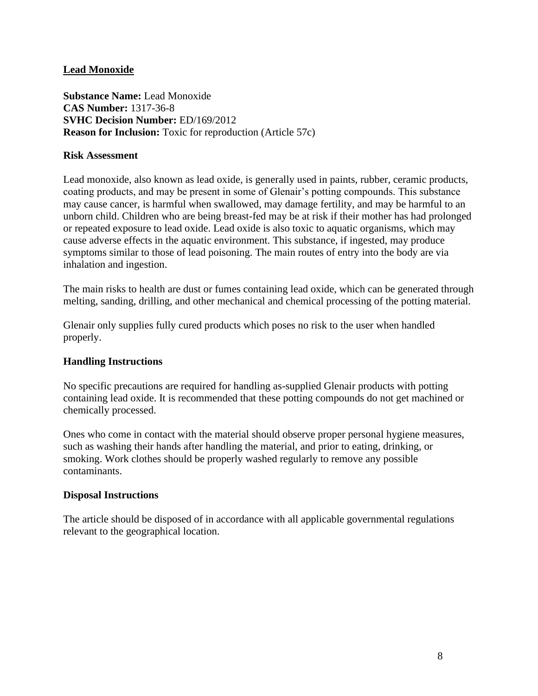### **Lead Monoxide**

**Substance Name:** Lead Monoxide **CAS Number:** 1317-36-8 **SVHC Decision Number:** ED/169/2012 **Reason for Inclusion:** Toxic for reproduction (Article 57c)

#### **Risk Assessment**

Lead monoxide, also known as lead oxide, is generally used in paints, rubber, ceramic products, coating products, and may be present in some of Glenair's potting compounds. This substance may cause cancer, is harmful when swallowed, may damage fertility, and may be harmful to an unborn child. Children who are being breast-fed may be at risk if their mother has had prolonged or repeated exposure to lead oxide. Lead oxide is also toxic to aquatic organisms, which may cause adverse effects in the aquatic environment. This substance, if ingested, may produce symptoms similar to those of lead poisoning. The main routes of entry into the body are via inhalation and ingestion.

The main risks to health are dust or fumes containing lead oxide, which can be generated through melting, sanding, drilling, and other mechanical and chemical processing of the potting material.

Glenair only supplies fully cured products which poses no risk to the user when handled properly.

### **Handling Instructions**

No specific precautions are required for handling as-supplied Glenair products with potting containing lead oxide. It is recommended that these potting compounds do not get machined or chemically processed.

Ones who come in contact with the material should observe proper personal hygiene measures, such as washing their hands after handling the material, and prior to eating, drinking, or smoking. Work clothes should be properly washed regularly to remove any possible contaminants.

### **Disposal Instructions**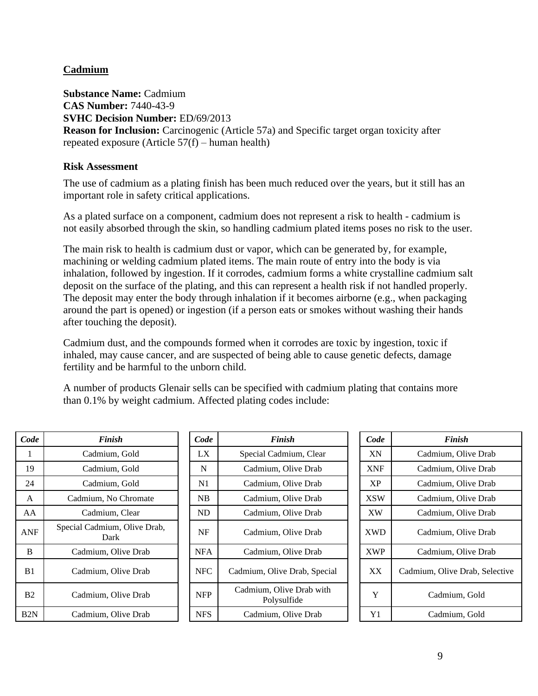### **Cadmium**

**Substance Name:** Cadmium **CAS Number:** 7440-43-9 **SVHC Decision Number:** ED/69/2013 **Reason for Inclusion:** Carcinogenic (Article 57a) and Specific target organ toxicity after repeated exposure (Article 57(f) – human health)

### **Risk Assessment**

The use of cadmium as a plating finish has been much reduced over the years, but it still has an important role in safety critical applications.

As a plated surface on a component, cadmium does not represent a risk to health - cadmium is not easily absorbed through the skin, so handling cadmium plated items poses no risk to the user.

The main risk to health is cadmium dust or vapor, which can be generated by, for example, machining or welding cadmium plated items. The main route of entry into the body is via inhalation, followed by ingestion. If it corrodes, cadmium forms a white crystalline cadmium salt deposit on the surface of the plating, and this can represent a health risk if not handled properly. The deposit may enter the body through inhalation if it becomes airborne (e.g., when packaging around the part is opened) or ingestion (if a person eats or smokes without washing their hands after touching the deposit).

Cadmium dust, and the compounds formed when it corrodes are toxic by ingestion, toxic if inhaled, may cause cancer, and are suspected of being able to cause genetic defects, damage fertility and be harmful to the unborn child.

A number of products Glenair sells can be specified with cadmium plating that contains more than 0.1% by weight cadmium. Affected plating codes include:

| Code             | <b>Finish</b>                        |            | Code | <b>Finish</b>                           |
|------------------|--------------------------------------|------------|------|-----------------------------------------|
|                  | Cadmium, Gold                        | LX         |      | Special Cadmium, Clear                  |
| 19               | Cadmium, Gold                        | N          |      | Cadmium, Olive Drab                     |
| 24               | Cadmium, Gold                        | N1         |      | Cadmium, Olive Drab                     |
| A                | Cadmium, No Chromate                 | NB         |      | Cadmium, Olive Drab                     |
| AA               | Cadmium, Clear                       | <b>ND</b>  |      | Cadmium, Olive Drab                     |
| <b>ANF</b>       | Special Cadmium, Olive Drab,<br>Dark | NF         |      | Cadmium, Olive Drab                     |
| B                | Cadmium, Olive Drab                  | <b>NFA</b> |      | Cadmium, Olive Drab                     |
| B1               | Cadmium, Olive Drab                  | <b>NFC</b> |      | Cadmium, Olive Drab, Specia             |
| B2               | Cadmium, Olive Drab                  | <b>NFP</b> |      | Cadmium, Olive Drab with<br>Polysulfide |
| B <sub>2</sub> N | Cadmium, Olive Drab                  | <b>NFS</b> |      | Cadmium, Olive Drab                     |

| Code           | <b>Finish</b>                        | Code       | <b>Finish</b>                           |  | Code       | Finish                         |
|----------------|--------------------------------------|------------|-----------------------------------------|--|------------|--------------------------------|
|                | Cadmium, Gold                        | LX         | Special Cadmium, Clear                  |  | XN         | Cadmium, Olive Drab            |
| 19             | Cadmium, Gold                        | N          | Cadmium, Olive Drab                     |  | <b>XNF</b> | Cadmium, Olive Drab            |
| 24             | Cadmium, Gold                        | N1         | Cadmium, Olive Drab                     |  | XP         | Cadmium, Olive Drab            |
| $\mathbf{A}$   | Cadmium, No Chromate                 | NB         | Cadmium, Olive Drab                     |  | <b>XSW</b> | Cadmium, Olive Drab            |
| AA             | Cadmium, Clear                       | ND         | Cadmium, Olive Drab                     |  | <b>XW</b>  | Cadmium, Olive Drab            |
| ANF            | Special Cadmium, Olive Drab,<br>Dark | NF         | Cadmium, Olive Drab                     |  | <b>XWD</b> | Cadmium, Olive Drab            |
| B              | Cadmium, Olive Drab                  | <b>NFA</b> | Cadmium, Olive Drab                     |  | <b>XWP</b> | Cadmium, Olive Drab            |
| B1             | Cadmium, Olive Drab                  | <b>NFC</b> | Cadmium, Olive Drab, Special            |  | XX         | Cadmium, Olive Drab, Selective |
| B <sub>2</sub> | Cadmium, Olive Drab                  | <b>NFP</b> | Cadmium, Olive Drab with<br>Polysulfide |  | Y          | Cadmium, Gold                  |
| B2N            | Cadmium, Olive Drab                  | <b>NFS</b> | Cadmium, Olive Drab                     |  | Y1         | Cadmium, Gold                  |

| <b>Finish</b>                     |  | Code       | <b>Finish</b>                  |  |  |  |
|-----------------------------------|--|------------|--------------------------------|--|--|--|
| l Cadmium, Clear                  |  | XN         | Cadmium, Olive Drab            |  |  |  |
| iium, Olive Drab                  |  | <b>XNF</b> | Cadmium, Olive Drab            |  |  |  |
| iium, Olive Drab                  |  | XP         | Cadmium, Olive Drab            |  |  |  |
| iium, Olive Drab                  |  | <b>XSW</b> | Cadmium, Olive Drab            |  |  |  |
| iium, Olive Drab                  |  | <b>XW</b>  | Cadmium, Olive Drab            |  |  |  |
| iium, Olive Drab                  |  | <b>XWD</b> | Cadmium, Olive Drab            |  |  |  |
| iium, Olive Drab                  |  | <b>XWP</b> | Cadmium, Olive Drab            |  |  |  |
| , Olive Drab, Special             |  | XX         | Cadmium, Olive Drab, Selective |  |  |  |
| m, Olive Drab with<br>Polysulfide |  | Y          | Cadmium, Gold                  |  |  |  |
| iium, Olive Drab                  |  | Y1         | Cadmium, Gold                  |  |  |  |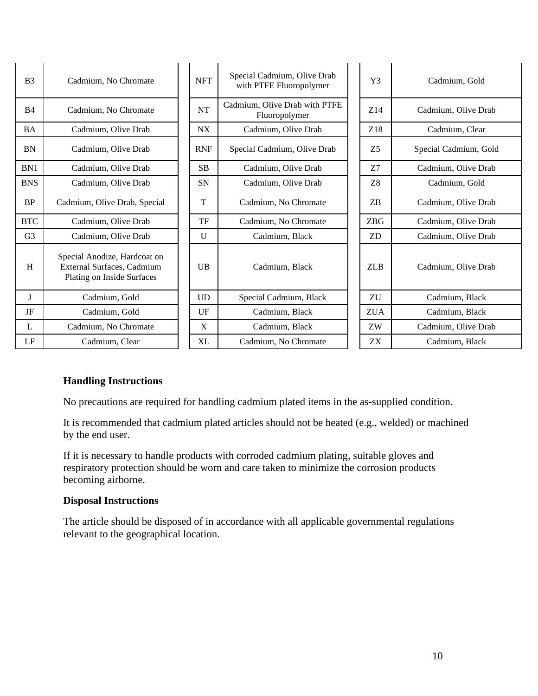| B <sub>3</sub> | Cadmium, No Chromate                                                                     | <b>NFT</b>   | Special Cadmium, Olive Drab<br>with PTFE Fluoropolymer |  | Y3             | Cadmium, Gold         |
|----------------|------------------------------------------------------------------------------------------|--------------|--------------------------------------------------------|--|----------------|-----------------------|
| B <sub>4</sub> | Cadmium, No Chromate                                                                     | <b>NT</b>    | Cadmium, Olive Drab with PTFE<br>Fluoropolymer         |  | Z14            | Cadmium, Olive Drab   |
| <b>BA</b>      | Cadmium, Olive Drab                                                                      | <b>NX</b>    | Cadmium, Olive Drab                                    |  | Z18            | Cadmium, Clear        |
| <b>BN</b>      | Cadmium, Olive Drab                                                                      | <b>RNF</b>   | Special Cadmium, Olive Drab                            |  | Z <sub>5</sub> | Special Cadmium, Gold |
| BN1            | Cadmium, Olive Drab                                                                      | <b>SB</b>    | Cadmium, Olive Drab                                    |  | Z <sub>7</sub> | Cadmium, Olive Drab   |
| <b>BNS</b>     | Cadmium, Olive Drab                                                                      | <b>SN</b>    | Cadmium, Olive Drab                                    |  | Z <sub>8</sub> | Cadmium, Gold         |
| <b>BP</b>      | Cadmium, Olive Drab, Special                                                             | T            | Cadmium, No Chromate                                   |  | ZB             | Cadmium, Olive Drab   |
| <b>BTC</b>     | Cadmium, Olive Drab                                                                      | TF           | Cadmium, No Chromate                                   |  | <b>ZBG</b>     | Cadmium, Olive Drab   |
| G <sub>3</sub> | Cadmium, Olive Drab                                                                      | $\mathbf{U}$ | Cadmium, Black                                         |  | <b>ZD</b>      | Cadmium, Olive Drab   |
| H              | Special Anodize, Hardcoat on<br>External Surfaces, Cadmium<br>Plating on Inside Surfaces | <b>UB</b>    | Cadmium, Black                                         |  | <b>ZLB</b>     | Cadmium, Olive Drab   |
| J              | Cadmium, Gold                                                                            | <b>UD</b>    | Special Cadmium, Black                                 |  | ${\rm ZU}$     | Cadmium, Black        |
| JF             | Cadmium, Gold                                                                            | UF           | Cadmium, Black                                         |  | <b>ZUA</b>     | Cadmium, Black        |
| L              | Cadmium, No Chromate                                                                     | X            | Cadmium, Black                                         |  | ZW             | Cadmium, Olive Drab   |
| LF             | Cadmium, Clear                                                                           | XL           | Cadmium, No Chromate                                   |  | ZX             | Cadmium, Black        |

## **Handling Instructions**

No precautions are required for handling cadmium plated items in the as-supplied condition.

It is recommended that cadmium plated articles should not be heated (e.g., welded) or machined by the end user.

If it is necessary to handle products with corroded cadmium plating, suitable gloves and respiratory protection should be worn and care taken to minimize the corrosion products becoming airborne.

### **Disposal Instructions**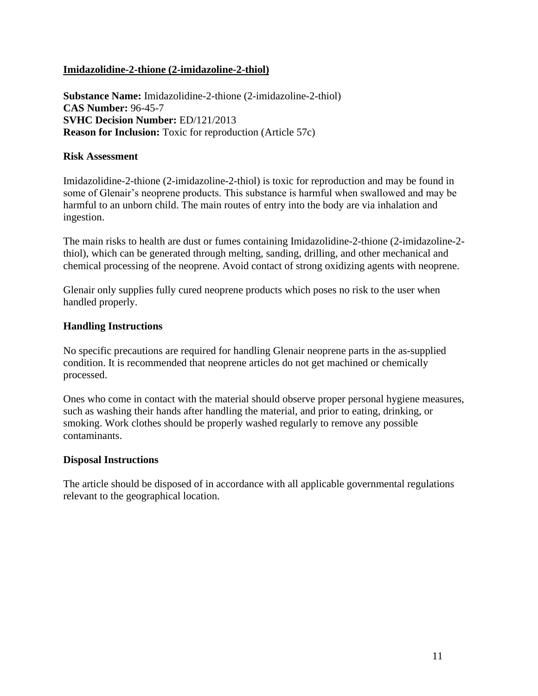### **Imidazolidine-2-thione (2-imidazoline-2-thiol)**

**Substance Name:** Imidazolidine-2-thione (2-imidazoline-2-thiol) **CAS Number:** 96-45-7 **SVHC Decision Number:** ED/121/2013 **Reason for Inclusion:** Toxic for reproduction (Article 57c)

#### **Risk Assessment**

Imidazolidine-2-thione (2-imidazoline-2-thiol) is toxic for reproduction and may be found in some of Glenair's neoprene products. This substance is harmful when swallowed and may be harmful to an unborn child. The main routes of entry into the body are via inhalation and ingestion.

The main risks to health are dust or fumes containing Imidazolidine-2-thione (2-imidazoline-2 thiol), which can be generated through melting, sanding, drilling, and other mechanical and chemical processing of the neoprene. Avoid contact of strong oxidizing agents with neoprene.

Glenair only supplies fully cured neoprene products which poses no risk to the user when handled properly.

#### **Handling Instructions**

No specific precautions are required for handling Glenair neoprene parts in the as-supplied condition. It is recommended that neoprene articles do not get machined or chemically processed.

Ones who come in contact with the material should observe proper personal hygiene measures, such as washing their hands after handling the material, and prior to eating, drinking, or smoking. Work clothes should be properly washed regularly to remove any possible contaminants.

#### **Disposal Instructions**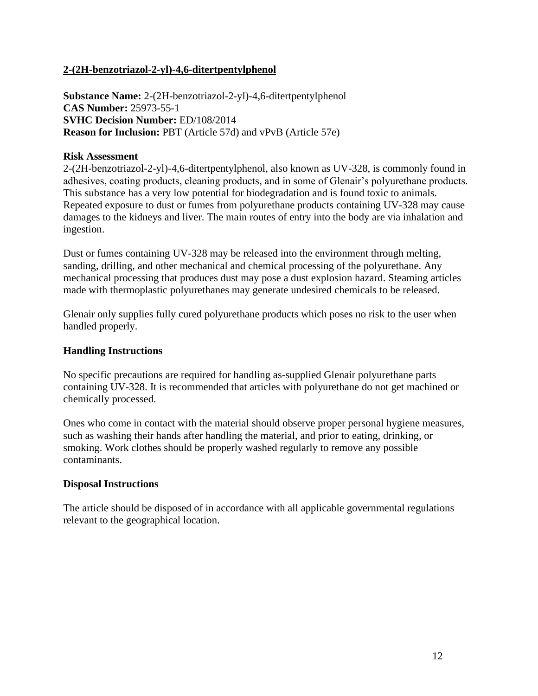### **2-(2H-benzotriazol-2-yl)-4,6-ditertpentylphenol**

**Substance Name:** 2-(2H-benzotriazol-2-yl)-4,6-ditertpentylphenol **CAS Number:** 25973-55-1 **SVHC Decision Number:** ED/108/2014 **Reason for Inclusion:** PBT (Article 57d) and vPvB (Article 57e)

#### **Risk Assessment**

2-(2H-benzotriazol-2-yl)-4,6-ditertpentylphenol, also known as UV-328, is commonly found in adhesives, coating products, cleaning products, and in some of Glenair's polyurethane products. This substance has a very low potential for biodegradation and is found toxic to animals. Repeated exposure to dust or fumes from polyurethane products containing UV-328 may cause damages to the kidneys and liver. The main routes of entry into the body are via inhalation and ingestion.

Dust or fumes containing UV-328 may be released into the environment through melting, sanding, drilling, and other mechanical and chemical processing of the polyurethane. Any mechanical processing that produces dust may pose a dust explosion hazard. Steaming articles made with thermoplastic polyurethanes may generate undesired chemicals to be released.

Glenair only supplies fully cured polyurethane products which poses no risk to the user when handled properly.

### **Handling Instructions**

No specific precautions are required for handling as-supplied Glenair polyurethane parts containing UV-328. It is recommended that articles with polyurethane do not get machined or chemically processed.

Ones who come in contact with the material should observe proper personal hygiene measures, such as washing their hands after handling the material, and prior to eating, drinking, or smoking. Work clothes should be properly washed regularly to remove any possible contaminants.

### **Disposal Instructions**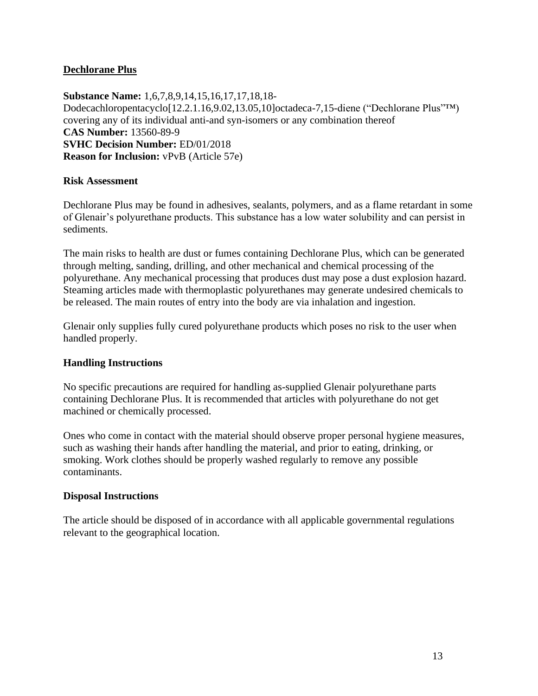### **Dechlorane Plus**

**Substance Name:** 1,6,7,8,9,14,15,16,17,17,18,18- Dodecachloropentacyclo[12.2.1.16,9.02,13.05,10]octadeca-7,15-diene ("Dechlorane Plus"™) covering any of its individual anti-and syn-isomers or any combination thereof **CAS Number:** 13560-89-9 **SVHC Decision Number:** ED/01/2018 **Reason for Inclusion:** vPvB (Article 57e)

### **Risk Assessment**

Dechlorane Plus may be found in adhesives, sealants, polymers, and as a flame retardant in some of Glenair's polyurethane products. This substance has a low water solubility and can persist in sediments.

The main risks to health are dust or fumes containing Dechlorane Plus, which can be generated through melting, sanding, drilling, and other mechanical and chemical processing of the polyurethane. Any mechanical processing that produces dust may pose a dust explosion hazard. Steaming articles made with thermoplastic polyurethanes may generate undesired chemicals to be released. The main routes of entry into the body are via inhalation and ingestion.

Glenair only supplies fully cured polyurethane products which poses no risk to the user when handled properly.

### **Handling Instructions**

No specific precautions are required for handling as-supplied Glenair polyurethane parts containing Dechlorane Plus. It is recommended that articles with polyurethane do not get machined or chemically processed.

Ones who come in contact with the material should observe proper personal hygiene measures, such as washing their hands after handling the material, and prior to eating, drinking, or smoking. Work clothes should be properly washed regularly to remove any possible contaminants.

#### **Disposal Instructions**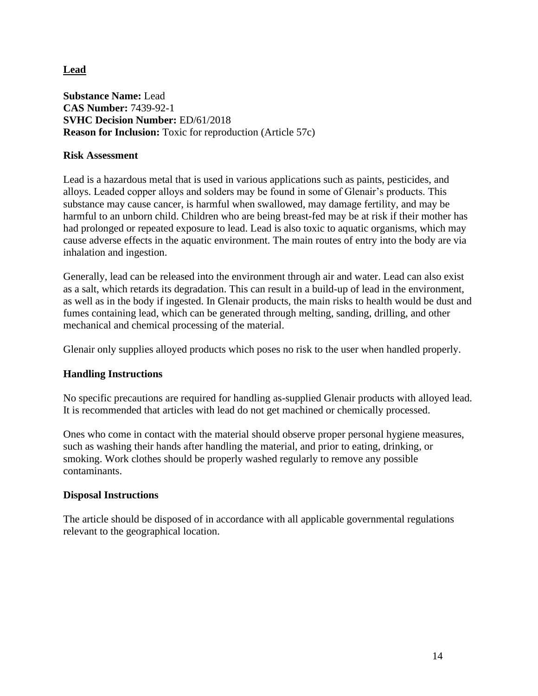**Lead**

**Substance Name:** Lead **CAS Number:** 7439-92-1 **SVHC Decision Number:** ED/61/2018 **Reason for Inclusion:** Toxic for reproduction (Article 57c)

### **Risk Assessment**

Lead is a hazardous metal that is used in various applications such as paints, pesticides, and alloys. Leaded copper alloys and solders may be found in some of Glenair's products. This substance may cause cancer, is harmful when swallowed, may damage fertility, and may be harmful to an unborn child. Children who are being breast-fed may be at risk if their mother has had prolonged or repeated exposure to lead. Lead is also toxic to aquatic organisms, which may cause adverse effects in the aquatic environment. The main routes of entry into the body are via inhalation and ingestion.

Generally, lead can be released into the environment through air and water. Lead can also exist as a salt, which retards its degradation. This can result in a build-up of lead in the environment, as well as in the body if ingested. In Glenair products, the main risks to health would be dust and fumes containing lead, which can be generated through melting, sanding, drilling, and other mechanical and chemical processing of the material.

Glenair only supplies alloyed products which poses no risk to the user when handled properly.

### **Handling Instructions**

No specific precautions are required for handling as-supplied Glenair products with alloyed lead. It is recommended that articles with lead do not get machined or chemically processed.

Ones who come in contact with the material should observe proper personal hygiene measures, such as washing their hands after handling the material, and prior to eating, drinking, or smoking. Work clothes should be properly washed regularly to remove any possible contaminants.

### **Disposal Instructions**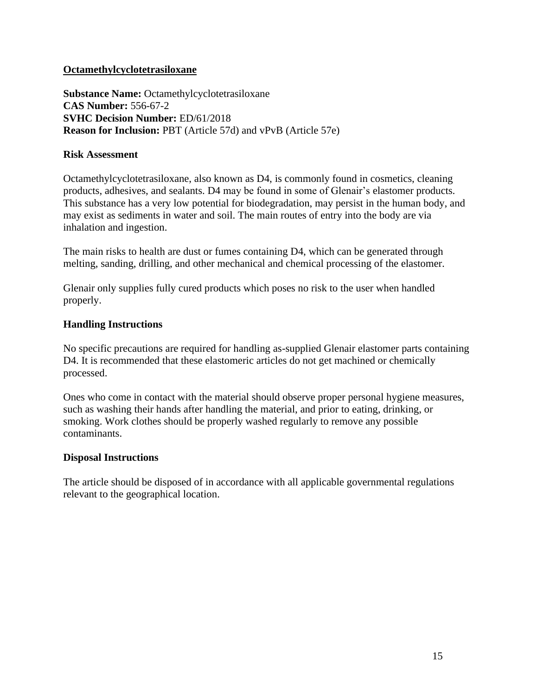### **Octamethylcyclotetrasiloxane**

**Substance Name:** Octamethylcyclotetrasiloxane **CAS Number:** 556-67-2 **SVHC Decision Number:** ED/61/2018 **Reason for Inclusion:** PBT (Article 57d) and vPvB (Article 57e)

#### **Risk Assessment**

Octamethylcyclotetrasiloxane, also known as D4, is commonly found in cosmetics, cleaning products, adhesives, and sealants. D4 may be found in some of Glenair's elastomer products. This substance has a very low potential for biodegradation, may persist in the human body, and may exist as sediments in water and soil. The main routes of entry into the body are via inhalation and ingestion.

The main risks to health are dust or fumes containing D4, which can be generated through melting, sanding, drilling, and other mechanical and chemical processing of the elastomer.

Glenair only supplies fully cured products which poses no risk to the user when handled properly.

### **Handling Instructions**

No specific precautions are required for handling as-supplied Glenair elastomer parts containing D4. It is recommended that these elastomeric articles do not get machined or chemically processed.

Ones who come in contact with the material should observe proper personal hygiene measures, such as washing their hands after handling the material, and prior to eating, drinking, or smoking. Work clothes should be properly washed regularly to remove any possible contaminants.

#### **Disposal Instructions**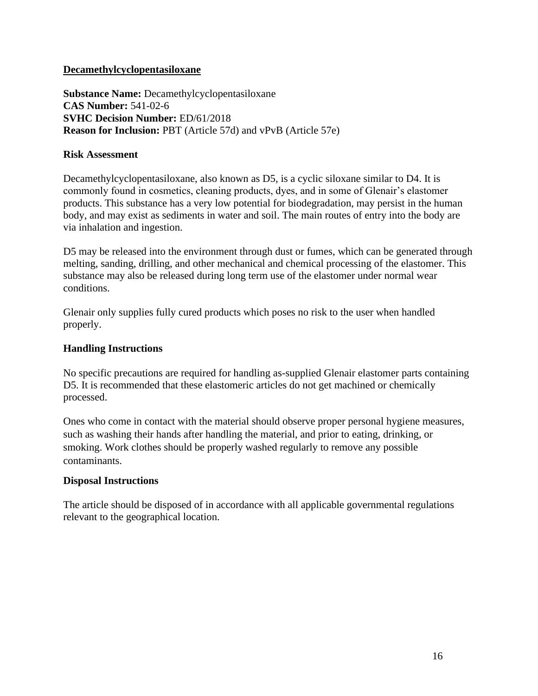### **Decamethylcyclopentasiloxane**

**Substance Name:** Decamethylcyclopentasiloxane **CAS Number:** 541-02-6 **SVHC Decision Number:** ED/61/2018 **Reason for Inclusion:** PBT (Article 57d) and vPvB (Article 57e)

#### **Risk Assessment**

Decamethylcyclopentasiloxane, also known as D5, is a cyclic siloxane similar to D4. It is commonly found in cosmetics, cleaning products, dyes, and in some of Glenair's elastomer products. This substance has a very low potential for biodegradation, may persist in the human body, and may exist as sediments in water and soil. The main routes of entry into the body are via inhalation and ingestion.

D5 may be released into the environment through dust or fumes, which can be generated through melting, sanding, drilling, and other mechanical and chemical processing of the elastomer. This substance may also be released during long term use of the elastomer under normal wear conditions.

Glenair only supplies fully cured products which poses no risk to the user when handled properly.

#### **Handling Instructions**

No specific precautions are required for handling as-supplied Glenair elastomer parts containing D5. It is recommended that these elastomeric articles do not get machined or chemically processed.

Ones who come in contact with the material should observe proper personal hygiene measures, such as washing their hands after handling the material, and prior to eating, drinking, or smoking. Work clothes should be properly washed regularly to remove any possible contaminants.

#### **Disposal Instructions**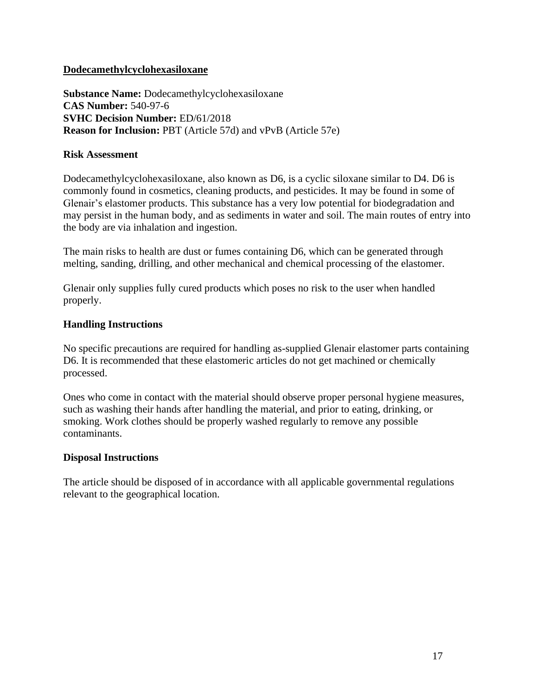### **Dodecamethylcyclohexasiloxane**

**Substance Name:** Dodecamethylcyclohexasiloxane **CAS Number:** 540-97-6 **SVHC Decision Number:** ED/61/2018 **Reason for Inclusion:** PBT (Article 57d) and vPvB (Article 57e)

#### **Risk Assessment**

Dodecamethylcyclohexasiloxane, also known as D6, is a cyclic siloxane similar to D4. D6 is commonly found in cosmetics, cleaning products, and pesticides. It may be found in some of Glenair's elastomer products. This substance has a very low potential for biodegradation and may persist in the human body, and as sediments in water and soil. The main routes of entry into the body are via inhalation and ingestion.

The main risks to health are dust or fumes containing D6, which can be generated through melting, sanding, drilling, and other mechanical and chemical processing of the elastomer.

Glenair only supplies fully cured products which poses no risk to the user when handled properly.

### **Handling Instructions**

No specific precautions are required for handling as-supplied Glenair elastomer parts containing D6. It is recommended that these elastomeric articles do not get machined or chemically processed.

Ones who come in contact with the material should observe proper personal hygiene measures, such as washing their hands after handling the material, and prior to eating, drinking, or smoking. Work clothes should be properly washed regularly to remove any possible contaminants.

#### **Disposal Instructions**